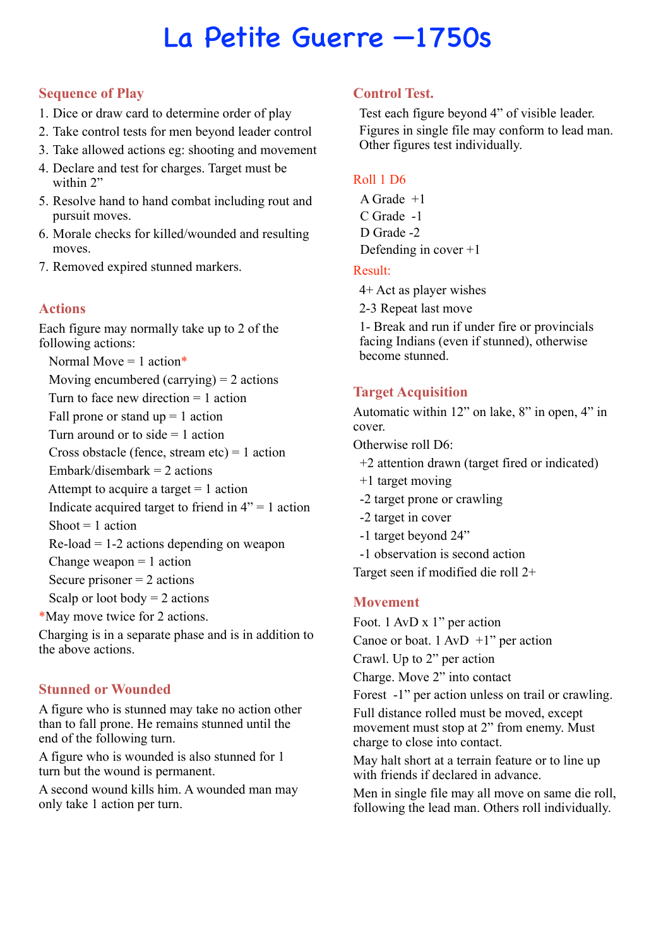# La Petite Guerre —1750s

## **Sequence of Play**

- 1. Dice or draw card to determine order of play
- 2. Take control tests for men beyond leader control
- 3. Take allowed actions eg: shooting and movement
- 4. Declare and test for charges. Target must be within 2"
- 5. Resolve hand to hand combat including rout and pursuit moves.
- 6. Morale checks for killed/wounded and resulting moves.
- 7. Removed expired stunned markers.

# **Actions**

Each figure may normally take up to 2 of the following actions:

Normal Move  $= 1$  action\*

Moving encumbered (carrying)  $= 2$  actions

Turn to face new direction  $= 1$  action

Fall prone or stand  $up = 1$  action

Turn around or to side  $= 1$  action

Cross obstacle (fence, stream etc) = 1 action

Embark/disembark  $= 2$  actions

Attempt to acquire a target  $= 1$  action

Indicate acquired target to friend in  $4" = 1$  action

Shoot  $= 1$  action

 $Re$ -load = 1-2 actions depending on weapon

Change weapon  $= 1$  action

Secure prisoner  $= 2$  actions

Scalp or loot body  $= 2$  actions

\*May move twice for 2 actions.

Charging is in a separate phase and is in addition to the above actions.

# **Stunned or Wounded**

A figure who is stunned may take no action other than to fall prone. He remains stunned until the end of the following turn.

A figure who is wounded is also stunned for 1 turn but the wound is permanent.

A second wound kills him. A wounded man may only take 1 action per turn.

# **Control Test.**

Test each figure beyond 4" of visible leader. Figures in single file may conform to lead man. Other figures test individually.

#### Roll 1 D6

A Grade +1 C Grade -1 D Grade -2 Defending in cover +1

#### Result:

4+ Act as player wishes

2-3 Repeat last move

1- Break and run if under fire or provincials facing Indians (even if stunned), otherwise become stunned.

# **Target Acquisition**

Automatic within 12" on lake, 8" in open, 4" in cover.

Otherwise roll D6:

- +2 attention drawn (target fired or indicated)
- +1 target moving
- -2 target prone or crawling
- -2 target in cover
- -1 target beyond 24"
- -1 observation is second action

Target seen if modified die roll 2+

# **Movement**

Foot. 1 AvD x 1" per action

Canoe or boat.  $1 \text{ AvD} + 1$ " per action

Crawl. Up to 2" per action

Charge. Move 2" into contact

Forest -1" per action unless on trail or crawling.

Full distance rolled must be moved, except movement must stop at 2" from enemy. Must charge to close into contact.

May halt short at a terrain feature or to line up with friends if declared in advance.

Men in single file may all move on same die roll, following the lead man. Others roll individually.